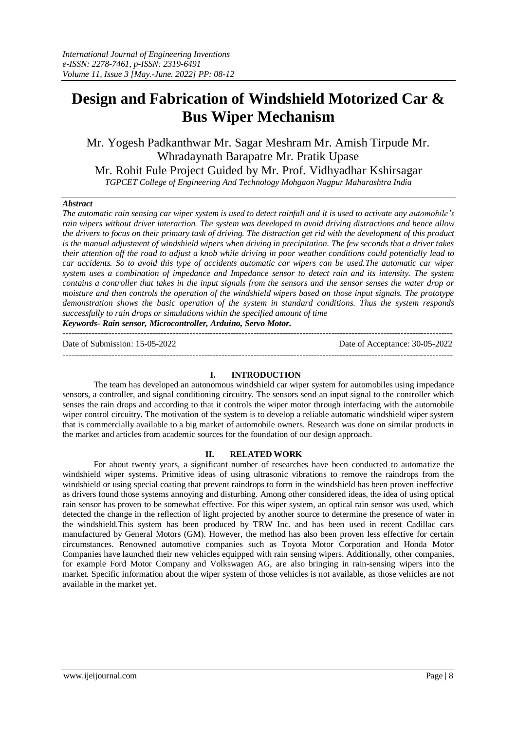# **Design and Fabrication of Windshield Motorized Car & Bus Wiper Mechanism**

Mr. Yogesh Padkanthwar Mr. Sagar Meshram Mr. Amish Tirpude Mr. Whradaynath Barapatre Mr. Pratik Upase Mr. Rohit Fule Project Guided by Mr. Prof. Vidhyadhar Kshirsagar *TGPCET College of Engineering And Technology Mohgaon Nagpur Maharashtra India*

#### *Abstract*

*The automatic rain sensing car wiper system is used to detect rainfall and it is used to activate any automobile's rain wipers without driver interaction. The system was developed to avoid driving distractions and hence allow the drivers to focus on their primary task of driving. The distraction get rid with the development of this product is the manual adjustment of windshield wipers when driving in precipitation. The few seconds that a driver takes their attention off the road to adjust a knob while driving in poor weather conditions could potentially lead to car accidents. So to avoid this type of accidents automatic car wipers can be used.The automatic car wiper system uses a combination of impedance and Impedance sensor to detect rain and its intensity. The system contains a controller that takes in the input signals from the sensors and the sensor senses the water drop or moisture and then controls the operation of the windshield wipers based on those input signals. The prototype demonstration shows the basic operation of the system in standard conditions. Thus the system responds successfully to rain drops or simulations within the specified amount of time Keywords- Rain sensor, Microcontroller, Arduino, Servo Motor.*

---------------------------------------------------------------------------------------------------------------------------------------

Date of Submission: 15-05-2022 Date of Acceptance: 30-05-2022

#### **I. INTRODUCTION**

---------------------------------------------------------------------------------------------------------------------------------------

The team has developed an autonomous windshield car wiper system for automobiles using impedance sensors, a controller, and signal conditioning circuitry. The sensors send an input signal to the controller which senses the rain drops and according to that it controls the wiper motor through interfacing with the automobile wiper control circuitry. The motivation of the system is to develop a reliable automatic windshield wiper system that is commercially available to a big market of automobile owners. Research was done on similar products in the market and articles from academic sources for the foundation of our design approach.

#### **II. RELATED WORK**

For about twenty years, a significant number of researches have been conducted to automatize the windshield wiper systems. Primitive ideas of using ultrasonic vibrations to remove the raindrops from the windshield or using special coating that prevent raindrops to form in the windshield has been proven ineffective as drivers found those systems annoying and disturbing. Among other considered ideas, the idea of using optical rain sensor has proven to be somewhat effective. For this wiper system, an optical rain sensor was used, which detected the change in the reflection of light projected by another source to determine the presence of water in the windshield.This system has been produced by TRW Inc. and has been used in recent Cadillac cars manufactured by General Motors (GM). However, the method has also been proven less effective for certain circumstances. Renowned automotive companies such as Toyota Motor Corporation and Honda Motor Companies have launched their new vehicles equipped with rain sensing wipers. Additionally, other companies, for example Ford Motor Company and Volkswagen AG, are also bringing in rain-sensing wipers into the market. Specific information about the wiper system of those vehicles is not available, as those vehicles are not available in the market yet.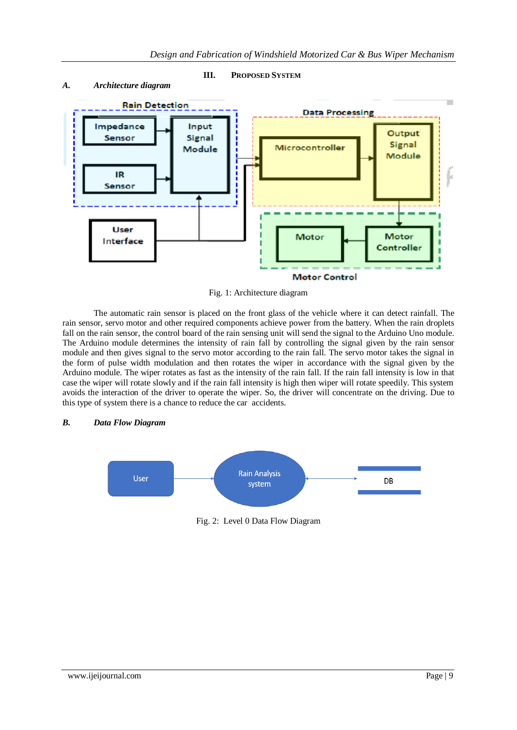

#### *A. Architecture diagram*



Fig. 1: Architecture diagram

The automatic rain sensor is placed on the front glass of the vehicle where it can detect rainfall. The rain sensor, servo motor and other required components achieve power from the battery. When the rain droplets fall on the rain sensor, the control board of the rain sensing unit will send the signal to the Arduino Uno module. The Arduino module determines the intensity of rain fall by controlling the signal given by the rain sensor module and then gives signal to the servo motor according to the rain fall. The servo motor takes the signal in the form of pulse width modulation and then rotates the wiper in accordance with the signal given by the Arduino module. The wiper rotates as fast as the intensity of the rain fall. If the rain fall intensity is low in that case the wiper will rotate slowly and if the rain fall intensity is high then wiper will rotate speedily. This system avoids the interaction of the driver to operate the wiper. So, the driver will concentrate on the driving. Due to this type of system there is a chance to reduce the car accidents.

## *B. Data Flow Diagram*



Fig. 2: Level 0 Data Flow Diagram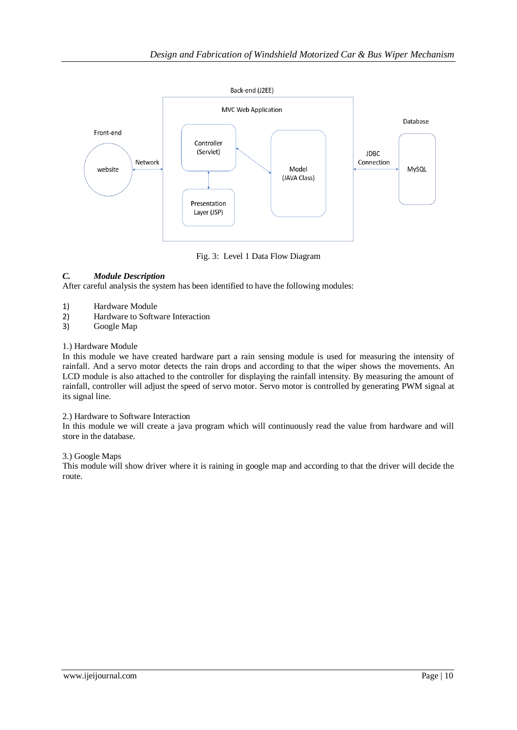

Fig. 3: Level 1 Data Flow Diagram

# *C. Module Description*

After careful analysis the system has been identified to have the following modules:

- 1) Hardware Module
- 2) Hardware to Software Interaction
- 3) Google Map

## 1.) Hardware Module

In this module we have created hardware part a rain sensing module is used for measuring the intensity of rainfall. And a servo motor detects the rain drops and according to that the wiper shows the movements. An LCD module is also attached to the controller for displaying the rainfall intensity. By measuring the amount of rainfall, controller will adjust the speed of servo motor. Servo motor is controlled by generating PWM signal at its signal line.

## 2.) Hardware to Software Interaction

In this module we will create a java program which will continuously read the value from hardware and will store in the database.

## 3.) Google Maps

This module will show driver where it is raining in google map and according to that the driver will decide the route.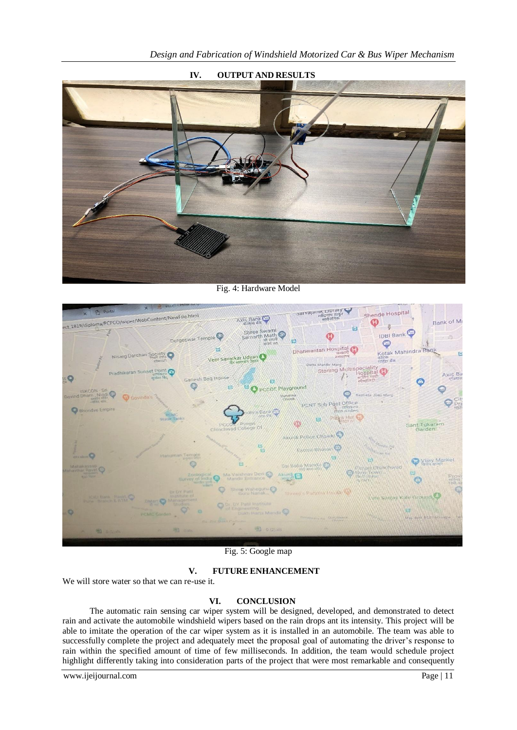

**IV. OUTPUT AND RESULTS**

Fig. 4: Hardware Model



Fig. 5: Google map

## **V. FUTURE ENHANCEMENT**

We will store water so that we can re-use it.

## **VI. CONCLUSION**

The automatic rain sensing car wiper system will be designed, developed, and demonstrated to detect rain and activate the automobile windshield wipers based on the rain drops ant its intensity. This project will be able to imitate the operation of the car wiper system as it is installed in an automobile. The team was able to successfully complete the project and adequately meet the proposal goal of automating the driver's response to rain within the specified amount of time of few milliseconds. In addition, the team would schedule project highlight differently taking into consideration parts of the project that were most remarkable and consequently